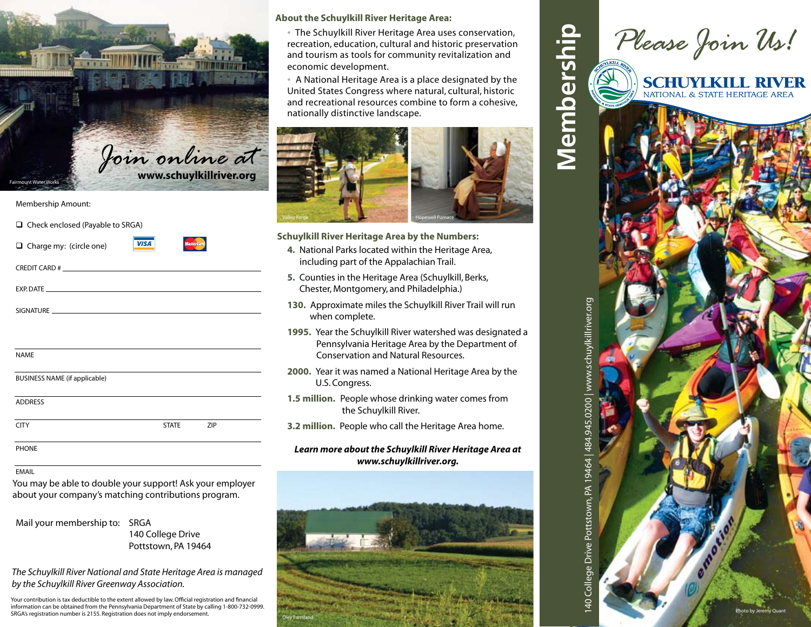

### Membership Amount:

| $\Box$ Check enclosed (Payable to SRGA)                     |  |  |  |  |
|-------------------------------------------------------------|--|--|--|--|
| <b>MasterCard</b><br>VISA<br>$\Box$ Charge my: (circle one) |  |  |  |  |
|                                                             |  |  |  |  |
|                                                             |  |  |  |  |
|                                                             |  |  |  |  |
|                                                             |  |  |  |  |
| <b>NAME</b>                                                 |  |  |  |  |
|                                                             |  |  |  |  |
| <b>BUSINESS NAME (if applicable)</b>                        |  |  |  |  |
| <b>ADDRESS</b>                                              |  |  |  |  |
| <b>CITY</b><br>ZIP<br><b>STATE</b>                          |  |  |  |  |
| PHONE                                                       |  |  |  |  |

#### EMAIL

You may be able to double your support! Ask your employer about your company's matching contributions program.

Mail your membership to: SRGA 140 College Drive Pottstown, PA 19464

*The Schuylkill River National and State Heritage Area is managed by the Schuylkill River Greenway Association.*

Your contribution is tax deductible to the extent allowed by law. Official registration and financial information can be obtained from the Pennsylvania Department of State by calling 1-800-732-0999. SRGA's registration number is 2155. Registration does not imply endorsement.

## **About the Schuylkill River Heritage Area:**

• The Schuylkill River Heritage Area uses conservation, recreation, education, cultural and historic preservation and tourism as tools for community revitalization and economic development.

• A National Heritage Area is a place designated by the United States Congress where natural, cultural, historic and recreational resources combine to form a cohesive, nationally distinctive landscape.



## **Schuylkill River Heritage Area by the Numbers:**

- **4.** National Parks located within the Heritage Area, including part of the Appalachian Trail.
- **5.** Counties in the Heritage Area (Schuylkill, Berks, Chester, Montgomery, and Philadelphia.)
- **130.** Approximate miles the Schuylkill River Trail will run when complete.
- **1995.** Year the Schuylkill River watershed was designated a Pennsylvania Heritage Area by the Department of Conservation and Natural Resources.
- **2000.** Year it was named a National Heritage Area by the U.S. Congress.
- **1.5 million.** People whose drinking water comes from the Schuylkill River.
- **3.2 million.** People who call the Heritage Area home.

## *Learn more about the Schuylkill River Heritage Area at www.schuylkillriver.org.*



|                                             |            |           | Please Join Us!                                           |  |
|---------------------------------------------|------------|-----------|-----------------------------------------------------------|--|
| Membership                                  | KILL RIVER |           | <b>SCHUYLKILL RIVER</b><br>NATIONAL & STATE HERITAGE AREA |  |
|                                             | STATE HER  |           |                                                           |  |
|                                             |            |           |                                                           |  |
|                                             |            |           |                                                           |  |
|                                             |            |           |                                                           |  |
|                                             |            |           |                                                           |  |
| 64   484.945.0200   www.schuylkillriver.org |            |           |                                                           |  |
|                                             |            |           |                                                           |  |
|                                             |            |           |                                                           |  |
| 140 College Drive Pottstown, PA 194         |            |           |                                                           |  |
|                                             |            | @ emotion |                                                           |  |
|                                             |            |           | Photo by Jeremy Quant                                     |  |
|                                             |            |           |                                                           |  |